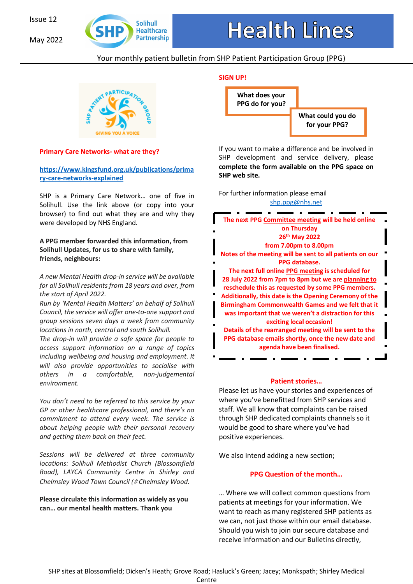May 2022



# Your monthly patient bulletin from SHP Patient Participation Group (PPG)



# **Primary Care Networks- what are they?**

**https://www.kingsfund.org.uk/publications/prima ry-care-networks-explained** 

SHP is a Primary Care Network… one of five in Solihull. Use the link above (or copy into your browser) to find out what they are and why they were developed by NHS England.

### **A PPG member forwarded this information, from Solihull Updates, for us to share with family, friends, neighbours:**

*A new Mental Health drop-in service will be available for all Solihull residents from 18 years and over, from the start of April 2022.* 

*Run by 'Mental Health Matters' on behalf of Solihull Council, the service will offer one-to-one support and group sessions seven days a week from community locations in north, central and south Solihull.* 

*The drop-in will provide a safe space for people to access support information on a range of topics including wellbeing and housing and employment. It will also provide opportunities to socialise with others in a comfortable, non-judgemental environment.* 

*You don't need to be referred to this service by your GP or other healthcare professional, and there's no commitment to attend every week. The service is about helping people with their personal recovery and getting them back on their feet.*

*Sessions will be delivered at three community locations: Solihull Methodist Church (Blossomfield Road), LAYCA Community Centre in Shirley and Chelmsley Wood Town Council (*# *Chelmsley Wood.* 

**Please circulate this information as widely as you can… our mental health matters. Thank you** 



If you want to make a difference and be involved in SHP development and service delivery, please **complete the form available on the PPG space on SHP web site.** 

For further information please email shp.ppg@nhs.net



#### **Patient stories…**

Please let us have your stories and experiences of where you've benefitted from SHP services and staff. We all know that complaints can be raised through SHP dedicated complaints channels so it would be good to share where you've had positive experiences.

We also intend adding a new section;

### **PPG Question of the month…**

… Where we will collect common questions from patients at meetings for your information. We want to reach as many registered SHP patients as we can, not just those within our email database. Should you wish to join our secure database and receive information and our Bulletins directly,